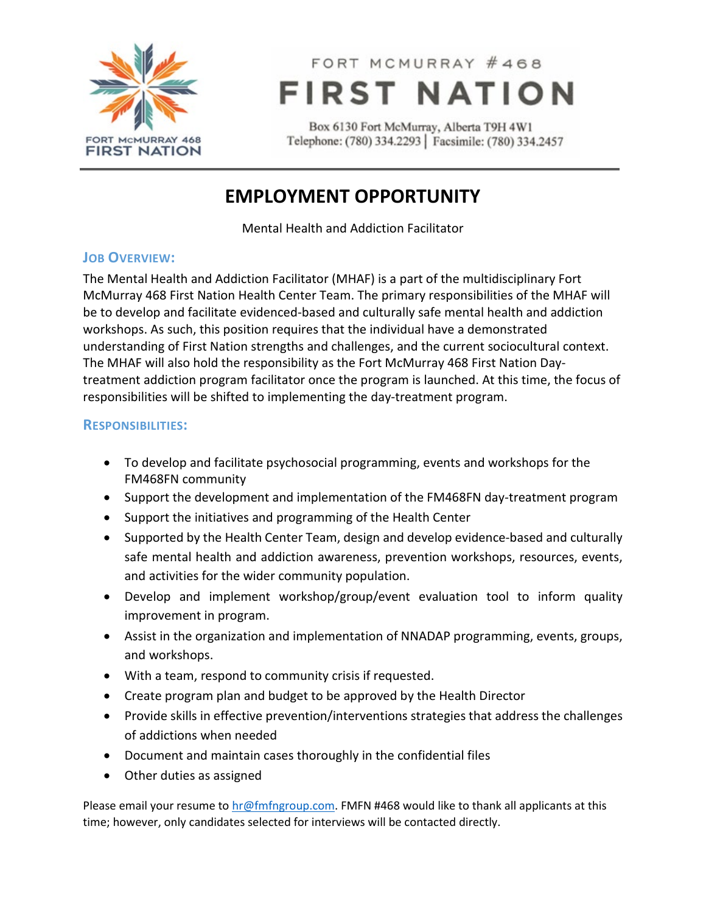

# FORT MCMURRAY #468 **FIRST NATION**

Box 6130 Fort McMurray, Alberta T9H 4W1 Telephone: (780) 334.2293 | Facsimile: (780) 334.2457

### **EMPLOYMENT OPPORTUNITY**

Mental Health and Addiction Facilitator

### **JOB OVERVIEW:**

The Mental Health and Addiction Facilitator (MHAF) is a part of the multidisciplinary Fort McMurray 468 First Nation Health Center Team. The primary responsibilities of the MHAF will be to develop and facilitate evidenced-based and culturally safe mental health and addiction workshops. As such, this position requires that the individual have a demonstrated understanding of First Nation strengths and challenges, and the current sociocultural context. The MHAF will also hold the responsibility as the Fort McMurray 468 First Nation Daytreatment addiction program facilitator once the program is launched. At this time, the focus of responsibilities will be shifted to implementing the day-treatment program.

### **RESPONSIBILITIES:**

- To develop and facilitate psychosocial programming, events and workshops for the FM468FN community
- Support the development and implementation of the FM468FN day-treatment program
- Support the initiatives and programming of the Health Center
- Supported by the Health Center Team, design and develop evidence-based and culturally safe mental health and addiction awareness, prevention workshops, resources, events, and activities for the wider community population.
- Develop and implement workshop/group/event evaluation tool to inform quality improvement in program.
- Assist in the organization and implementation of NNADAP programming, events, groups, and workshops.
- With a team, respond to community crisis if requested.
- Create program plan and budget to be approved by the Health Director
- Provide skills in effective prevention/interventions strategies that address the challenges of addictions when needed
- Document and maintain cases thoroughly in the confidential files
- Other duties as assigned

Please email your resume to  $hr@fmfgroup.com$ . FMFN #468 would like to thank all applicants at this time; however, only candidates selected for interviews will be contacted directly.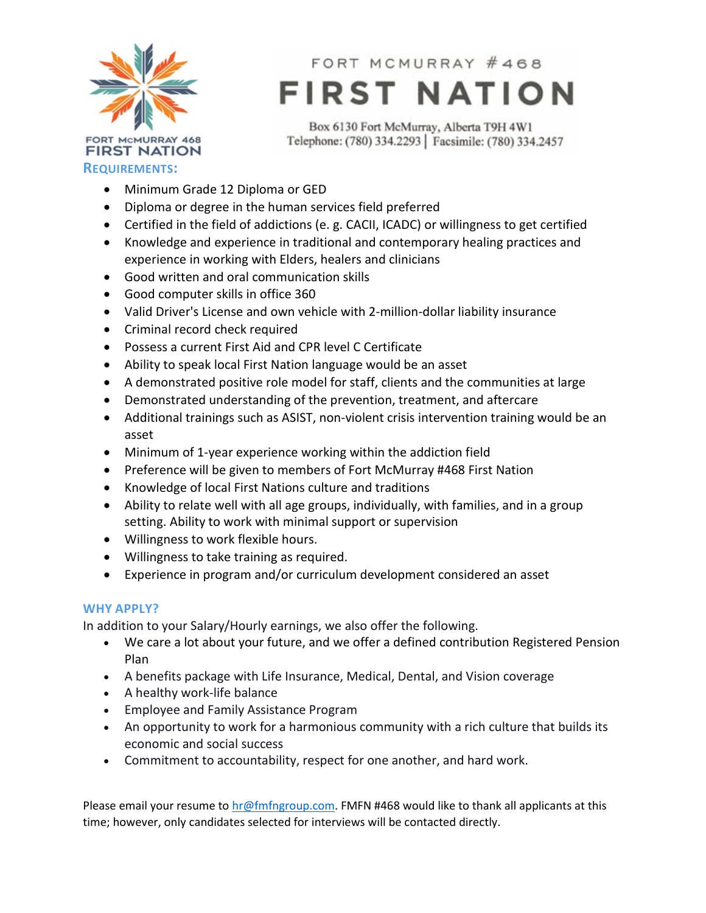

FORT MCMURRAY #468 **FIRST NATION** 

Box 6130 Fort McMurray, Alberta T9H 4W1 Telephone: (780) 334.2293 | Facsimile: (780) 334.2457

- Minimum Grade 12 Diploma or GED
- Diploma or degree in the human services field preferred
- Certified in the field of addictions (e. g. CACII, ICADC) or willingness to get certified
- Knowledge and experience in traditional and contemporary healing practices and experience in working with Elders, healers and clinicians
- Good written and oral communication skills
- Good computer skills in office 360
- Valid Driver's License and own vehicle with 2-million-dollar liability insurance
- Criminal record check required
- Possess a current First Aid and CPR level C Certificate
- Ability to speak local First Nation language would be an asset
- A demonstrated positive role model for staff, clients and the communities at large
- Demonstrated understanding of the prevention, treatment, and aftercare
- Additional trainings such as ASIST, non-violent crisis intervention training would be an asset
- Minimum of 1-year experience working within the addiction field
- Preference will be given to members of Fort McMurray #468 First Nation
- Knowledge of local First Nations culture and traditions
- Ability to relate well with all age groups, individually, with families, and in a group setting. Ability to work with minimal support or supervision
- Willingness to work flexible hours.
- Willingness to take training as required.
- Experience in program and/or curriculum development considered an asset

#### **WHY APPLY?**

In addition to your Salary/Hourly earnings, we also offer the following.

- We care a lot about your future, and we offer a defined contribution Registered Pension Plan
- A benefits package with Life Insurance, Medical, Dental, and Vision coverage
- A healthy work-life balance
- Employee and Family Assistance Program
- An opportunity to work for a harmonious community with a rich culture that builds its economic and social success
- Commitment to accountability, respect for one another, and hard work.

Please email your resume to  $hr@fmfgroup.com$ . FMFN #468 would like to thank all applicants at this time; however, only candidates selected for interviews will be contacted directly.